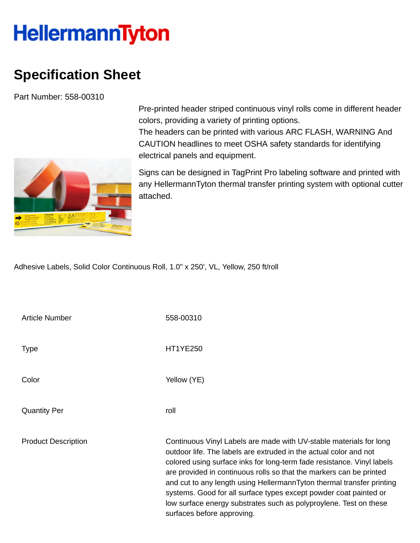## **HellermannTyton**

## **Specification Sheet**

Part Number: 558-00310



Pre-printed header striped continuous vinyl rolls come in different header colors, providing a variety of printing options.

The headers can be printed with various ARC FLASH, WARNING And CAUTION headlines to meet OSHA safety standards for identifying electrical panels and equipment.

Signs can be designed in TagPrint Pro labeling software and printed with any HellermannTyton thermal transfer printing system with optional cutter attached.

Adhesive Labels, Solid Color Continuous Roll, 1.0" x 250', VL, Yellow, 250 ft/roll

| <b>Article Number</b>      | 558-00310                                                                                                                                                                                                                                                                                                                                                                                                                                                                                                                                 |
|----------------------------|-------------------------------------------------------------------------------------------------------------------------------------------------------------------------------------------------------------------------------------------------------------------------------------------------------------------------------------------------------------------------------------------------------------------------------------------------------------------------------------------------------------------------------------------|
| Type                       | <b>HT1YE250</b>                                                                                                                                                                                                                                                                                                                                                                                                                                                                                                                           |
| Color                      | Yellow (YE)                                                                                                                                                                                                                                                                                                                                                                                                                                                                                                                               |
| <b>Quantity Per</b>        | roll                                                                                                                                                                                                                                                                                                                                                                                                                                                                                                                                      |
| <b>Product Description</b> | Continuous Vinyl Labels are made with UV-stable materials for long<br>outdoor life. The labels are extruded in the actual color and not<br>colored using surface inks for long-term fade resistance. Vinyl labels<br>are provided in continuous rolls so that the markers can be printed<br>and cut to any length using HellermannTyton thermal transfer printing<br>systems. Good for all surface types except powder coat painted or<br>low surface energy substrates such as polyproylene. Test on these<br>surfaces before approving. |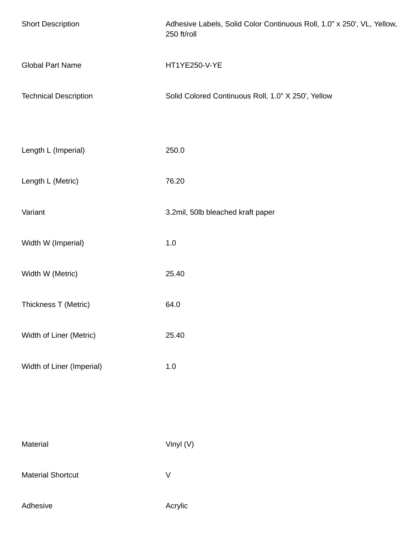| <b>Short Description</b>     | Adhesive Labels, Solid Color Continuous Roll, 1.0" x 250', VL, Yellow,<br>250 ft/roll |
|------------------------------|---------------------------------------------------------------------------------------|
| <b>Global Part Name</b>      | HT1YE250-V-YE                                                                         |
| <b>Technical Description</b> | Solid Colored Continuous Roll, 1.0" X 250', Yellow                                    |
|                              |                                                                                       |
| Length L (Imperial)          | 250.0                                                                                 |
| Length L (Metric)            | 76.20                                                                                 |
| Variant                      | 3.2mil, 50lb bleached kraft paper                                                     |
| Width W (Imperial)           | $1.0\,$                                                                               |
| Width W (Metric)             | 25.40                                                                                 |
| Thickness T (Metric)         | 64.0                                                                                  |
| Width of Liner (Metric)      | 25.40                                                                                 |
| Width of Liner (Imperial)    | $1.0\,$                                                                               |
|                              |                                                                                       |
|                              |                                                                                       |
| Material                     | Vinyl (V)                                                                             |
| <b>Material Shortcut</b>     | $\sf V$                                                                               |
| Adhesive                     | Acrylic                                                                               |